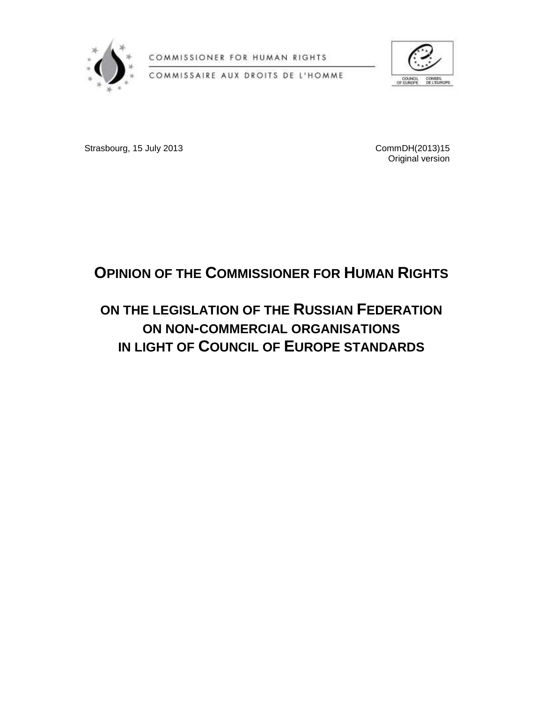

COMMISSIONER FOR HUMAN RIGHTS





Strasbourg, 15 July 2013 2013 2013 2014 2015 2016 2017 2018 2019 2013 2014

Original version

# **OPINION OF THE COMMISSIONER FOR HUMAN RIGHTS**

## **ON THE LEGISLATION OF THE RUSSIAN FEDERATION ON NON-COMMERCIAL ORGANISATIONS IN LIGHT OF COUNCIL OF EUROPE STANDARDS**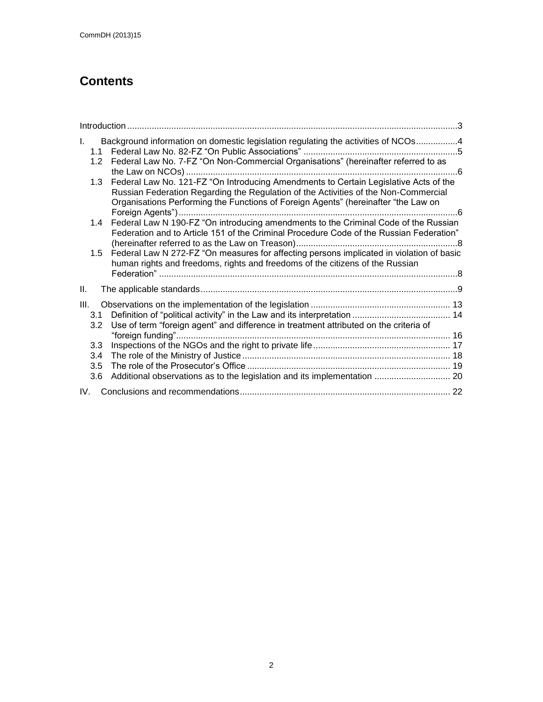### **Contents**

| T.<br>1.1                       | Background information on domestic legislation regulating the activities of NCOs4                                                                                                                                                                                 |  |
|---------------------------------|-------------------------------------------------------------------------------------------------------------------------------------------------------------------------------------------------------------------------------------------------------------------|--|
| 1.2                             | Federal Law No. 7-FZ "On Non-Commercial Organisations" (hereinafter referred to as                                                                                                                                                                                |  |
| 1.3                             | Federal Law No. 121-FZ "On Introducing Amendments to Certain Legislative Acts of the<br>Russian Federation Regarding the Regulation of the Activities of the Non-Commercial<br>Organisations Performing the Functions of Foreign Agents" (hereinafter "the Law on |  |
| 1.4                             | Federal Law N 190-FZ "On introducing amendments to the Criminal Code of the Russian<br>Federation and to Article 151 of the Criminal Procedure Code of the Russian Federation"                                                                                    |  |
|                                 | 1.5 Federal Law N 272-FZ "On measures for affecting persons implicated in violation of basic<br>human rights and freedoms, rights and freedoms of the citizens of the Russian                                                                                     |  |
| Ш.                              |                                                                                                                                                                                                                                                                   |  |
| III.<br>3.1<br>3.2 <sub>2</sub> | Use of term "foreign agent" and difference in treatment attributed on the criteria of                                                                                                                                                                             |  |
| 3.3<br>3.4                      |                                                                                                                                                                                                                                                                   |  |
| 3.5<br>3.6                      | Additional observations as to the legislation and its implementation  20                                                                                                                                                                                          |  |
| IV.                             |                                                                                                                                                                                                                                                                   |  |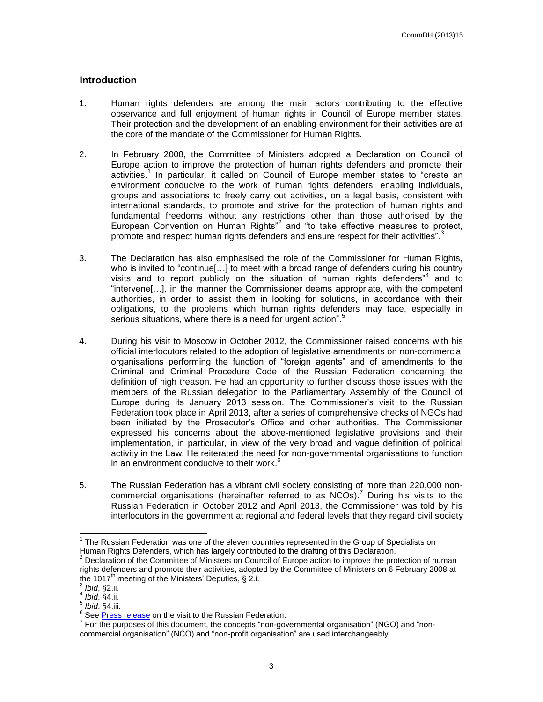#### <span id="page-2-0"></span>**Introduction**

- 1. Human rights defenders are among the main actors contributing to the effective observance and full enjoyment of human rights in Council of Europe member states. Their protection and the development of an enabling environment for their activities are at the core of the mandate of the Commissioner for Human Rights.
- 2. In February 2008, the Committee of Ministers adopted a Declaration on Council of Europe action to improve the protection of human rights defenders and promote their activities. 1 In particular, it called on Council of Europe member states to "create an environment conducive to the work of human rights defenders, enabling individuals, groups and associations to freely carry out activities, on a legal basis, consistent with international standards, to promote and strive for the protection of human rights and fundamental freedoms without any restrictions other than those authorised by the European Convention on Human Rights<sup>"2</sup> and "to take effective measures to protect, promote and respect human rights defenders and ensure respect for their activities".<sup>3</sup>
- 3. The Declaration has also emphasised the role of the Commissioner for Human Rights, who is invited to "continue[...] to meet with a broad range of defenders during his country visits and to report publicly on the situation of human rights defenders<sup>"4</sup> and to "intervene[…], in the manner the Commissioner deems appropriate, with the competent authorities, in order to assist them in looking for solutions, in accordance with their obligations, to the problems which human rights defenders may face, especially in serious situations, where there is a need for urgent action" <sup>5</sup>
- 4. During his visit to Moscow in October 2012, the Commissioner raised concerns with his official interlocutors related to the adoption of legislative amendments on non-commercial organisations performing the function of "foreign agents" and of amendments to the Criminal and Criminal Procedure Code of the Russian Federation concerning the definition of high treason. He had an opportunity to further discuss those issues with the members of the Russian delegation to the Parliamentary Assembly of the Council of Europe during its January 2013 session. The Commissioner's visit to the Russian Federation took place in April 2013, after a series of comprehensive checks of NGOs had been initiated by the Prosecutor's Office and other authorities. The Commissioner expressed his concerns about the above-mentioned legislative provisions and their implementation, in particular, in view of the very broad and vague definition of political activity in the Law. He reiterated the need for non-governmental organisations to function in an environment conducive to their work.<sup>6</sup>
- 5. The Russian Federation has a vibrant civil society consisting of more than 220,000 noncommercial organisations (hereinafter referred to as  $NCOs$ ).<sup>7</sup> During his visits to the Russian Federation in October 2012 and April 2013, the Commissioner was told by his interlocutors in the government at regional and federal levels that they regard civil society

 1 The Russian Federation was one of the eleven countries represented in the Group of Specialists on Human Rights Defenders, which has largely contributed to the drafting of this Declaration.

 $2$  Declaration of the Committee of Ministers on Council of Europe action to improve the protection of human rights defenders and promote their activities, adopted by the Committee of Ministers on 6 February 2008 at the 1017<sup>th</sup> meeting of the Ministers' Deputies, § 2.i.<br><sup>3</sup> thid .so ::

*Ibid*, §2.ii.

<sup>4</sup> *Ibid*, §4.ii.

<sup>5</sup> *Ibid*, §4.iii.

<sup>&</sup>lt;sup>6</sup> See [Press release](http://www.coe.int/t/commissioner/News/2013/130411Russiaendofvisit_en.asp) on the visit to the Russian Federation.

 $<sup>7</sup>$  For the purposes of this document, the concepts "non-governmental organisation" (NGO) and "non-</sup> commercial organisation" (NCO) and "non-profit organisation" are used interchangeably.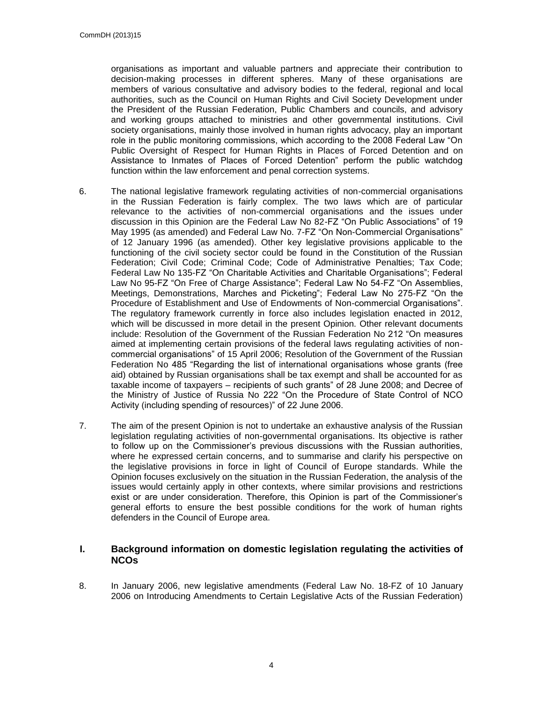organisations as important and valuable partners and appreciate their contribution to decision-making processes in different spheres. Many of these organisations are members of various consultative and advisory bodies to the federal, regional and local authorities, such as the Council on Human Rights and Civil Society Development under the President of the Russian Federation, Public Chambers and councils, and advisory and working groups attached to ministries and other governmental institutions. Civil society organisations, mainly those involved in human rights advocacy, play an important role in the public monitoring commissions, which according to the 2008 Federal Law "On Public Oversight of Respect for Human Rights in Places of Forced Detention and on Assistance to Inmates of Places of Forced Detention" perform the public watchdog function within the law enforcement and penal correction systems.

- 6. The national legislative framework regulating activities of non-commercial organisations in the Russian Federation is fairly complex. The two laws which are of particular relevance to the activities of non-commercial organisations and the issues under discussion in this Opinion are the Federal Law No 82-FZ "On Public Associations" of 19 May 1995 (as amended) and Federal Law No. 7-FZ "On Non-Commercial Organisations" of 12 January 1996 (as amended). Other key legislative provisions applicable to the functioning of the civil society sector could be found in the Constitution of the Russian Federation; Civil Code; Criminal Code; Code of Administrative Penalties; Tax Code; Federal Law No 135-FZ "On Charitable Activities and Charitable Organisations"; Federal Law No 95-FZ "On Free of Charge Assistance"; Federal Law No 54-FZ "On Assemblies, Meetings, Demonstrations, Marches and Picketing"; Federal Law No 275-FZ "On the Procedure of Establishment and Use of Endowments of Non-commercial Organisations". The regulatory framework currently in force also includes legislation enacted in 2012, which will be discussed in more detail in the present Opinion. Other relevant documents include: Resolution of the Government of the Russian Federation No 212 "On measures aimed at implementing certain provisions of the federal laws regulating activities of noncommercial organisations" of 15 April 2006; Resolution of the Government of the Russian Federation No 485 "Regarding the list of international organisations whose grants (free aid) obtained by Russian organisations shall be tax exempt and shall be accounted for as taxable income of taxpayers – recipients of such grants" of 28 June 2008; and Decree of the Ministry of Justice of Russia No 222 "On the Procedure of State Control of NCO Activity (including spending of resources)" of 22 June 2006.
- 7. The aim of the present Opinion is not to undertake an exhaustive analysis of the Russian legislation regulating activities of non-governmental organisations. Its objective is rather to follow up on the Commissioner's previous discussions with the Russian authorities, where he expressed certain concerns, and to summarise and clarify his perspective on the legislative provisions in force in light of Council of Europe standards. While the Opinion focuses exclusively on the situation in the Russian Federation, the analysis of the issues would certainly apply in other contexts, where similar provisions and restrictions exist or are under consideration. Therefore, this Opinion is part of the Commissioner's general efforts to ensure the best possible conditions for the work of human rights defenders in the Council of Europe area.

#### <span id="page-3-0"></span>**I. Background information on domestic legislation regulating the activities of NCOs**

8. In January 2006, new legislative amendments (Federal Law No. 18-FZ of 10 January 2006 on Introducing Amendments to Certain Legislative Acts of the Russian Federation)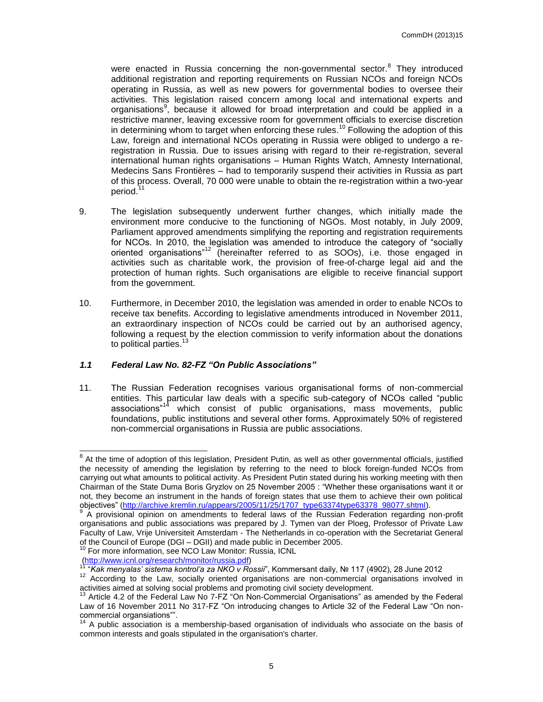were enacted in Russia concerning the non-governmental sector.<sup>8</sup> They introduced additional registration and reporting requirements on Russian NCOs and foreign NCOs operating in Russia, as well as new powers for governmental bodies to oversee their activities. This legislation raised concern among local and international experts and organisations<sup>9</sup>, because it allowed for broad interpretation and could be applied in a restrictive manner, leaving excessive room for government officials to exercise discretion in determining whom to target when enforcing these rules.<sup>10</sup> Following the adoption of this Law, foreign and international NCOs operating in Russia were obliged to undergo a reregistration in Russia. Due to issues arising with regard to their re-registration, several international human rights organisations – Human Rights Watch, Amnesty International, Medecins Sans Frontières – had to temporarily suspend their activities in Russia as part of this process. Overall, 70 000 were unable to obtain the re-registration within a two-year period.<sup>11</sup>

- 9. The legislation subsequently underwent further changes, which initially made the environment more conducive to the functioning of NGOs. Most notably, in July 2009, Parliament approved amendments simplifying the reporting and registration requirements for NCOs. In 2010, the legislation was amended to introduce the category of "socially oriented organisations"<sup>12</sup> (hereinafter referred to as SOOs), i.e. those engaged in activities such as charitable work, the provision of free-of-charge legal aid and the protection of human rights. Such organisations are eligible to receive financial support from the government.
- 10. Furthermore, in December 2010, the legislation was amended in order to enable NCOs to receive tax benefits. According to legislative amendments introduced in November 2011, an extraordinary inspection of NCOs could be carried out by an authorised agency, following a request by the election commission to verify information about the donations to political parties.<sup>13</sup>

#### <span id="page-4-0"></span>*1.1 Federal Law No. 82-FZ "On Public Associations"*

11. The Russian Federation recognises various organisational forms of non-commercial entities. This particular law deals with a specific sub-category of NCOs called "public associations"<sup>14</sup> which consist of public organisations, mass movements, public foundations, public institutions and several other forms. Approximately 50% of registered non-commercial organisations in Russia are public associations.

<sup>&</sup>lt;sup>8</sup> At the time of adoption of this legislation, President Putin, as well as other governmental officials, justified the necessity of amending the legislation by referring to the need to block foreign-funded NCOs from carrying out what amounts to political activity. As President Putin stated during his working meeting with then Chairman of the State Duma Boris Gryzlov on 25 November 2005 : "Whether these organisations want it or not, they become an instrument in the hands of foreign states that use them to achieve their own political objectives" [\(http://archive.kremlin.ru/appears/2005/11/25/1707\\_type63374type63378\\_98077.shtml\)](http://archive.kremlin.ru/appears/2005/11/25/1707_type63374type63378_98077.shtml).

<sup>9</sup> A provisional opinion on amendments to federal laws of the Russian Federation regarding non-profit organisations and public associations was prepared by J. Tymen van der Ploeg, Professor of Private Law Faculty of Law, Vrije Universiteit Amsterdam - The Netherlands in co-operation with the Secretariat General of the Council of Europe (DGI – DGII) and made public in December 2005.

<sup>&</sup>lt;sup>10</sup> For more information, see NCO Law Monitor: Russia, ICNL [\(http://www.icnl.org/research/monitor/russia.pdf\)](http://www.icnl.org/research/monitor/russia.pdf)

<sup>11</sup> "*Kak menyalas' sistema kontrol'a za NKO v Rossii*", Kommersant daily, № 117 (4902), 28 June 2012

<sup>&</sup>lt;sup>12</sup> According to the Law, socially oriented organisations are non-commercial organisations involved in activities aimed at solving social problems and promoting civil society development.

<sup>13</sup> Article 4.2 of the Federal Law No 7-FZ "On Non-Commercial Organisations" as amended by the Federal Law of 16 November 2011 No 317-FZ "On introducing changes to Article 32 of the Federal Law "On noncommercial organsiations"".

<sup>&</sup>lt;sup>14</sup> A public association is a membership-based organisation of individuals who associate on the basis of common interests and goals stipulated in the organisation's charter.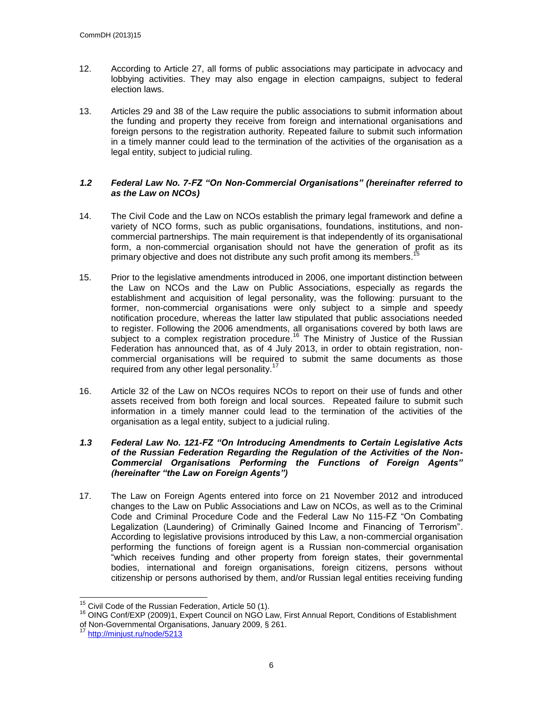- 12. According to Article 27, all forms of public associations may participate in advocacy and lobbying activities. They may also engage in election campaigns, subject to federal election laws.
- 13. Articles 29 and 38 of the Law require the public associations to submit information about the funding and property they receive from foreign and international organisations and foreign persons to the registration authority. Repeated failure to submit such information in a timely manner could lead to the termination of the activities of the organisation as a legal entity, subject to judicial ruling.

#### <span id="page-5-0"></span>*1.2 Federal Law No. 7-FZ "On Non-Commercial Organisations" (hereinafter referred to as the Law on NCOs)*

- 14. The Civil Code and the Law on NCOs establish the primary legal framework and define a variety of NCO forms, such as public organisations, foundations, institutions, and noncommercial partnerships. The main requirement is that independently of its organisational form, a non-commercial organisation should not have the generation of profit as its primary objective and does not distribute any such profit among its members.<sup>15</sup>
- 15. Prior to the legislative amendments introduced in 2006, one important distinction between the Law on NCOs and the Law on Public Associations, especially as regards the establishment and acquisition of legal personality, was the following: pursuant to the former, non-commercial organisations were only subject to a simple and speedy notification procedure, whereas the latter law stipulated that public associations needed to register. Following the 2006 amendments, all organisations covered by both laws are subject to a complex registration procedure.<sup>16</sup> The Ministry of Justice of the Russian Federation has announced that, as of 4 July 2013, in order to obtain registration, noncommercial organisations will be required to submit the same documents as those required from any other legal personality.<sup>17</sup>
- 16. Article 32 of the Law on NCOs requires NCOs to report on their use of funds and other assets received from both foreign and local sources. Repeated failure to submit such information in a timely manner could lead to the termination of the activities of the organisation as a legal entity, subject to a judicial ruling.

#### <span id="page-5-1"></span>*1.3 Federal Law No. 121-FZ "On Introducing Amendments to Certain Legislative Acts of the Russian Federation Regarding the Regulation of the Activities of the Non-Commercial Organisations Performing the Functions of Foreign Agents" (hereinafter "the Law on Foreign Agents")*

17. The Law on Foreign Agents entered into force on 21 November 2012 and introduced changes to the Law on Public Associations and Law on NCOs, as well as to the Criminal Code and Criminal Procedure Code and the Federal Law No 115-FZ "On Combating Legalization (Laundering) of Criminally Gained Income and Financing of Terrorism". According to legislative provisions introduced by this Law, a non-commercial organisation performing the functions of foreign agent is a Russian non-commercial organisation "which receives funding and other property from foreign states, their governmental bodies, international and foreign organisations, foreign citizens, persons without citizenship or persons authorised by them, and/or Russian legal entities receiving funding

 $15$  Civil Code of the Russian Federation, Article 50 (1).

<sup>&</sup>lt;sup>16</sup> OING Conf/EXP (2009)1, Expert Council on NGO Law, First Annual Report, Conditions of Establishment of Non-Governmental Organisations, January 2009, § 261.

<http://minjust.ru/node/5213>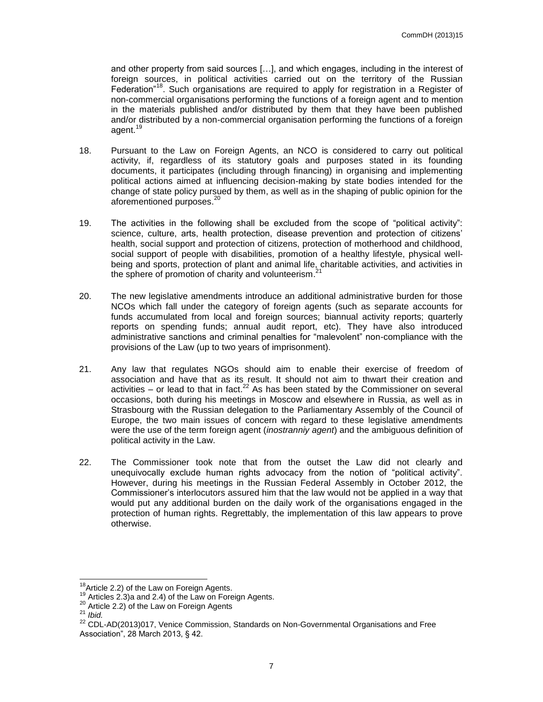and other property from said sources […], and which engages, including in the interest of foreign sources, in political activities carried out on the territory of the Russian Federation<sup>"18</sup>. Such organisations are required to apply for registration in a Register of non-commercial organisations performing the functions of a foreign agent and to mention in the materials published and/or distributed by them that they have been published and/or distributed by a non-commercial organisation performing the functions of a foreign agent.<sup>19</sup>

- 18. Pursuant to the Law on Foreign Agents, an NCO is considered to carry out political activity, if, regardless of its statutory goals and purposes stated in its founding documents, it participates (including through financing) in organising and implementing political actions aimed at influencing decision-making by state bodies intended for the change of state policy pursued by them, as well as in the shaping of public opinion for the aforementioned purposes.<sup>20</sup>
- 19. The activities in the following shall be excluded from the scope of "political activity": science, culture, arts, health protection, disease prevention and protection of citizens' health, social support and protection of citizens, protection of motherhood and childhood, social support of people with disabilities, promotion of a healthy lifestyle, physical wellbeing and sports, protection of plant and animal life, charitable activities, and activities in the sphere of promotion of charity and volunteerism.<sup>21</sup>
- 20. The new legislative amendments introduce an additional administrative burden for those NCOs which fall under the category of foreign agents (such as separate accounts for funds accumulated from local and foreign sources; biannual activity reports; quarterly reports on spending funds; annual audit report, etc). They have also introduced administrative sanctions and criminal penalties for "malevolent" non-compliance with the provisions of the Law (up to two years of imprisonment).
- 21. Any law that regulates NGOs should aim to enable their exercise of freedom of association and have that as its result. It should not aim to thwart their creation and activities  $-$  or lead to that in fact.<sup>22</sup> As has been stated by the Commissioner on several occasions, both during his meetings in Moscow and elsewhere in Russia, as well as in Strasbourg with the Russian delegation to the Parliamentary Assembly of the Council of Europe, the two main issues of concern with regard to these legislative amendments were the use of the term foreign agent (*inostranniy agent*) and the ambiguous definition of political activity in the Law.
- 22. The Commissioner took note that from the outset the Law did not clearly and unequivocally exclude human rights advocacy from the notion of "political activity". However, during his meetings in the Russian Federal Assembly in October 2012, the Commissioner's interlocutors assured him that the law would not be applied in a way that would put any additional burden on the daily work of the organisations engaged in the protection of human rights. Regrettably, the implementation of this law appears to prove otherwise.

<sup>&</sup>lt;sup>18</sup> Article 2.2) of the Law on Foreign Agents.

<sup>&</sup>lt;sup>19</sup> Articles 2.3)a and 2.4) of the Law on Foreign Agents.

<sup>&</sup>lt;sup>20</sup> Article 2.2) of the Law on Foreign Agents

<sup>21</sup> *Ibid.*

<sup>&</sup>lt;sup>22</sup> CDL-AD(2013)017, Venice Commission, Standards on Non-Governmental Organisations and Free Association", 28 March 2013, § 42.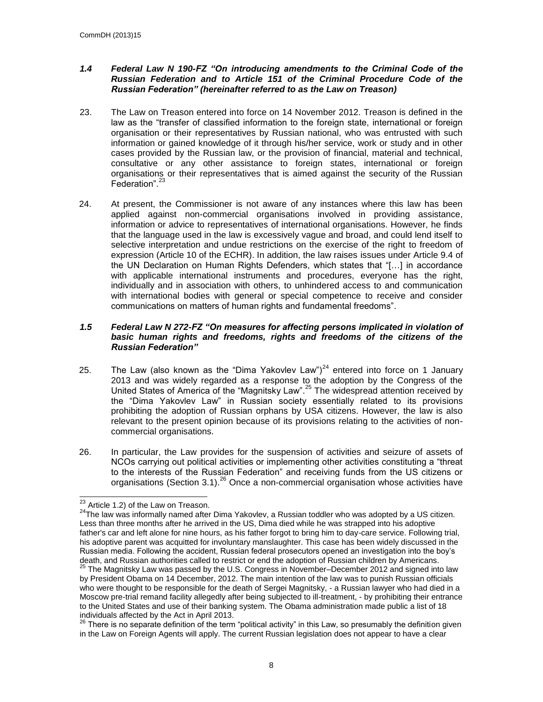#### <span id="page-7-0"></span>*1.4 Federal Law N 190-FZ "On introducing amendments to the Criminal Code of the Russian Federation and to Article 151 of the Criminal Procedure Code of the Russian Federation" (hereinafter referred to as the Law on Treason)*

- 23. The Law on Treason entered into force on 14 November 2012. Treason is defined in the law as the "transfer of classified information to the foreign state, international or foreign organisation or their representatives by Russian national, who was entrusted with such information or gained knowledge of it through his/her service, work or study and in other cases provided by the Russian law, or the provision of financial, material and technical, consultative or any other assistance to foreign states, international or foreign organisations or their representatives that is aimed against the security of the Russian Federation".<sup>23</sup>
- 24. At present, the Commissioner is not aware of any instances where this law has been applied against non-commercial organisations involved in providing assistance, information or advice to representatives of international organisations. However, he finds that the language used in the law is excessively vague and broad, and could lend itself to selective interpretation and undue restrictions on the exercise of the right to freedom of expression (Article 10 of the ECHR). In addition, the law raises issues under Article 9.4 of the UN Declaration on Human Rights Defenders, which states that "[…] in accordance with applicable international instruments and procedures, everyone has the right, individually and in association with others, to unhindered access to and communication with international bodies with general or special competence to receive and consider communications on matters of human rights and fundamental freedoms".

#### <span id="page-7-1"></span>*1.5 Federal Law N 272-FZ "On measures for affecting persons implicated in violation of basic human rights and freedoms, rights and freedoms of the citizens of the Russian Federation"*

- 25. The Law (also known as the "Dima Yakovlev Law") $^{24}$  entered into force on 1 January 2013 and was widely regarded as a response to the adoption by the Congress of the United States of America of the "Magnitsky Law".<sup>25</sup> The widespread attention received by the "Dima Yakovlev Law" in Russian society essentially related to its provisions prohibiting the adoption of Russian orphans by USA citizens. However, the law is also relevant to the present opinion because of its provisions relating to the activities of noncommercial organisations.
- 26. In particular, the Law provides for the suspension of activities and seizure of assets of NCOs carrying out political activities or implementing other activities constituting a "threat to the interests of the Russian Federation" and receiving funds from the US citizens or organisations (Section 3.1).<sup>26</sup> Once a non-commercial organisation whose activities have

 $\overline{a}$  $^{23}$  Article 1.2) of the Law on Treason.

<sup>&</sup>lt;sup>24</sup>The law was informally named after Dima Yakovlev, a Russian toddler who was adopted by a US citizen. Less than three months after he arrived in the US, Dima died while he was strapped into his adoptive father's car and left alone for nine hours, as his father forgot to bring him to day-care service. Following trial, his adoptive parent was acquitted for involuntary manslaughter. This case has been widely discussed in the Russian media. Following the accident, Russian federal prosecutors opened an investigation into the boy's death, and Russian authorities called to restrict or end the adoption of Russian children by Americans.

 $^{25}$  The Magnitsky Law was passed by the U.S. Congress in November–December 2012 and signed into law by President Obama on 14 December, 2012. The main intention of the law was to punish Russian officials who were thought to be responsible for the death of Sergei Magnitsky, - a Russian lawyer who had died in a Moscow pre-trial remand facility allegedly after being subjected to ill-treatment, - by prohibiting their entrance to the United States and use of their banking system. The Obama administration made public a list of 18 individuals affected by the Act in April 2013.

 $26$  There is no separate definition of the term "political activity" in this Law, so presumably the definition given in the Law on Foreign Agents will apply. The current Russian legislation does not appear to have a clear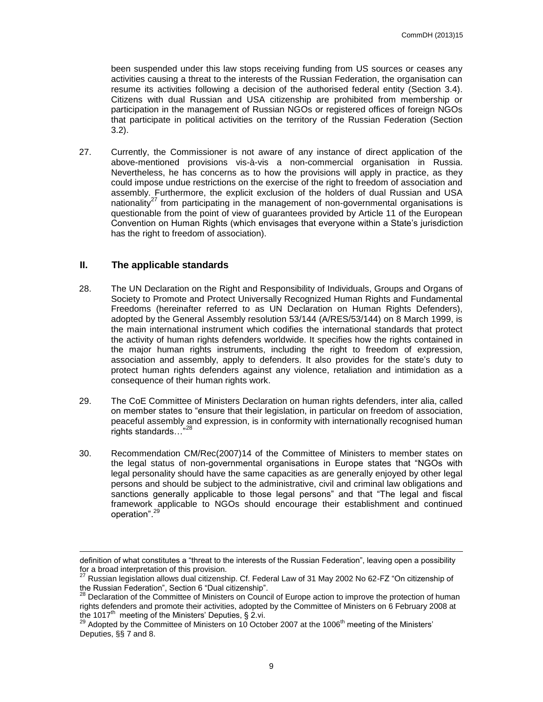been suspended under this law stops receiving funding from US sources or ceases any activities causing a threat to the interests of the Russian Federation, the organisation can resume its activities following a decision of the authorised federal entity (Section 3.4). Citizens with dual Russian and USA citizenship are prohibited from membership or participation in the management of Russian NGOs or registered offices of foreign NGOs that participate in political activities on the territory of the Russian Federation (Section 3.2).

27. Currently, the Commissioner is not aware of any instance of direct application of the above-mentioned provisions vis-à-vis a non-commercial organisation in Russia. Nevertheless, he has concerns as to how the provisions will apply in practice, as they could impose undue restrictions on the exercise of the right to freedom of association and assembly. Furthermore, the explicit exclusion of the holders of dual Russian and USA nationality<sup>27</sup> from participating in the management of non-governmental organisations is questionable from the point of view of guarantees provided by Article 11 of the European Convention on Human Rights (which envisages that everyone within a State's jurisdiction has the right to freedom of association).

#### <span id="page-8-0"></span>**II. The applicable standards**

- 28. The UN Declaration on the Right and Responsibility of Individuals, Groups and Organs of Society to Promote and Protect Universally Recognized Human Rights and Fundamental Freedoms (hereinafter referred to as UN Declaration on Human Rights Defenders), adopted by the General Assembly resolution 53/144 (A/RES/53/144) on 8 March 1999, is the main international instrument which codifies the international standards that protect the activity of human rights defenders worldwide. It specifies how the rights contained in the major human rights instruments, including the right to freedom of expression, association and assembly, apply to defenders. It also provides for the state's duty to protect human rights defenders against any violence, retaliation and intimidation as a consequence of their human rights work.
- 29. The CoE Committee of Ministers Declaration on human rights defenders, inter alia, called on member states to "ensure that their legislation, in particular on freedom of association, peaceful assembly and expression, is in conformity with internationally recognised human rights standards…<sup>"28</sup>
- 30. Recommendation CM/Rec(2007)14 of the Committee of Ministers to member states on the legal status of non-governmental organisations in Europe states that "NGOs with legal personality should have the same capacities as are generally enjoyed by other legal persons and should be subject to the administrative, civil and criminal law obligations and sanctions generally applicable to those legal persons" and that "The legal and fiscal framework applicable to NGOs should encourage their establishment and continued operation".<sup>29</sup>

definition of what constitutes a "threat to the interests of the Russian Federation", leaving open a possibility for a broad interpretation of this provision.

 $^{27}$  Russian legislation allows dual citizenship. Cf. Federal Law of 31 May 2002 No 62-FZ "On citizenship of the Russian Federation", Section 6 "Dual citizenship".<br><sup>28</sup> Declaration <sup>28</sup> Declaration<sup>"</sup>, Section 6 "Dual citizenship".

 $<sup>8</sup>$  Declaration of the Committee of Ministers on Council of Europe action to improve the protection of human</sup> rights defenders and promote their activities, adopted by the Committee of Ministers on 6 February 2008 at the 1017<sup>th</sup> meeting of the Ministers' Deputies, § 2.vi.

 $^{29}$  Adopted by the Committee of Ministers on 10 October 2007 at the 1006<sup>th</sup> meeting of the Ministers' Deputies, §§ 7 and 8.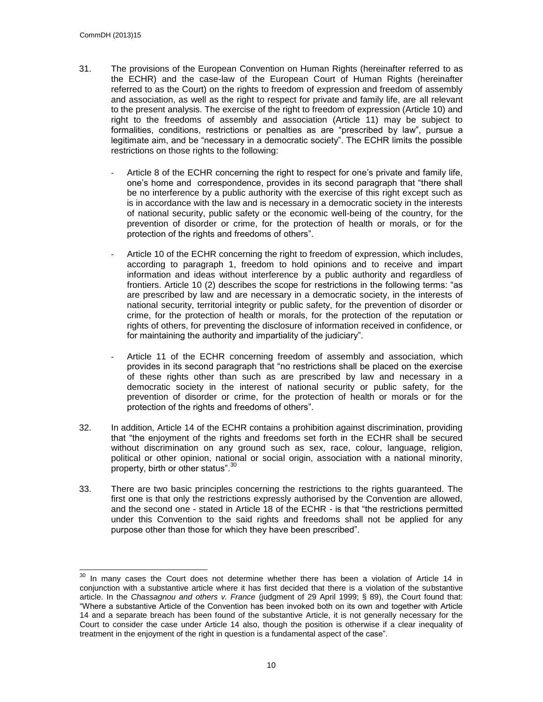- 31. The provisions of the European Convention on Human Rights (hereinafter referred to as the ECHR) and the case-law of the European Court of Human Rights (hereinafter referred to as the Court) on the rights to freedom of expression and freedom of assembly and association, as well as the right to respect for private and family life, are all relevant to the present analysis. The exercise of the right to freedom of expression (Article 10) and right to the freedoms of assembly and association (Article 11) may be subject to formalities, conditions, restrictions or penalties as are "prescribed by law", pursue a legitimate aim, and be "necessary in a democratic society". The ECHR limits the possible restrictions on those rights to the following:
	- Article 8 of the ECHR concerning the right to respect for one's private and family life, one's home and correspondence, provides in its second paragraph that "there shall be no interference by a public authority with the exercise of this right except such as is in accordance with the law and is necessary in a democratic society in the interests of national security, public safety or the economic well-being of the country, for the prevention of disorder or crime, for the protection of health or morals, or for the protection of the rights and freedoms of others".
	- Article 10 of the ECHR concerning the right to freedom of expression, which includes, according to paragraph 1, freedom to hold opinions and to receive and impart information and ideas without interference by a public authority and regardless of frontiers. Article 10 (2) describes the scope for restrictions in the following terms: "as are prescribed by law and are necessary in a democratic society, in the interests of national security, territorial integrity or public safety, for the prevention of disorder or crime, for the protection of health or morals, for the protection of the reputation or rights of others, for preventing the disclosure of information received in confidence, or for maintaining the authority and impartiality of the judiciary".
	- Article 11 of the ECHR concerning freedom of assembly and association, which provides in its second paragraph that "no restrictions shall be placed on the exercise of these rights other than such as are prescribed by law and necessary in a democratic society in the interest of national security or public safety, for the prevention of disorder or crime, for the protection of health or morals or for the protection of the rights and freedoms of others".
- 32. In addition, Article 14 of the ECHR contains a prohibition against discrimination, providing that "the enjoyment of the rights and freedoms set forth in the ECHR shall be secured without discrimination on any ground such as sex, race, colour, language, religion, political or other opinion, national or social origin, association with a national minority, property, birth or other status".<sup>30</sup>
- 33. There are two basic principles concerning the restrictions to the rights guaranteed. The first one is that only the restrictions expressly authorised by the Convention are allowed, and the second one - stated in Article 18 of the ECHR - is that "the restrictions permitted under this Convention to the said rights and freedoms shall not be applied for any purpose other than those for which they have been prescribed".

 $30$  In many cases the Court does not determine whether there has been a violation of Article 14 in conjunction with a substantive article where it has first decided that there is a violation of the substantive article. In the *Chassagnou and others v. France* (judgment of 29 April 1999; § 89), the Court found that: "Where a substantive Article of the Convention has been invoked both on its own and together with Article 14 and a separate breach has been found of the substantive Article, it is not generally necessary for the Court to consider the case under Article 14 also, though the position is otherwise if a clear inequality of treatment in the enjoyment of the right in question is a fundamental aspect of the case".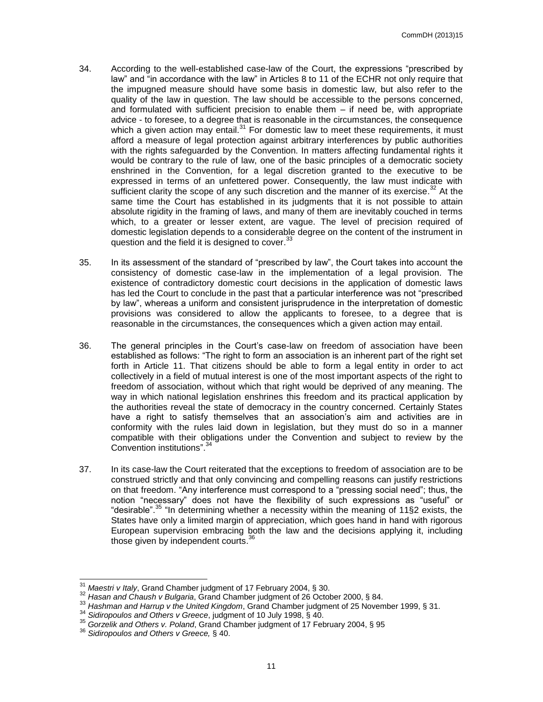- 34. According to the well-established case-law of the Court, the expressions "prescribed by law" and "in accordance with the law" in Articles 8 to 11 of the ECHR not only require that the impugned measure should have some basis in domestic law, but also refer to the quality of the law in question. The law should be accessible to the persons concerned, and formulated with sufficient precision to enable them – if need be, with appropriate advice - to foresee, to a degree that is reasonable in the circumstances, the consequence which a given action may entail.<sup>31</sup> For domestic law to meet these requirements, it must afford a measure of legal protection against arbitrary interferences by public authorities with the rights safeguarded by the Convention. In matters affecting fundamental rights it would be contrary to the rule of law, one of the basic principles of a democratic society enshrined in the Convention, for a legal discretion granted to the executive to be expressed in terms of an unfettered power. Consequently, the law must indicate with sufficient clarity the scope of any such discretion and the manner of its exercise. $32$  At the same time the Court has established in its judgments that it is not possible to attain absolute rigidity in the framing of laws, and many of them are inevitably couched in terms which, to a greater or lesser extent, are vague. The level of precision required of domestic legislation depends to a considerable degree on the content of the instrument in question and the field it is designed to cover.<sup>33</sup>
- 35. In its assessment of the standard of "prescribed by law", the Court takes into account the consistency of domestic case-law in the implementation of a legal provision. The existence of contradictory domestic court decisions in the application of domestic laws has led the Court to conclude in the past that a particular interference was not "prescribed by law", whereas a uniform and consistent jurisprudence in the interpretation of domestic provisions was considered to allow the applicants to foresee, to a degree that is reasonable in the circumstances, the consequences which a given action may entail.
- 36. The general principles in the Court's case-law on freedom of association have been established as follows: "The right to form an association is an inherent part of the right set forth in Article 11. That citizens should be able to form a legal entity in order to act collectively in a field of mutual interest is one of the most important aspects of the right to freedom of association, without which that right would be deprived of any meaning. The way in which national legislation enshrines this freedom and its practical application by the authorities reveal the state of democracy in the country concerned. Certainly States have a right to satisfy themselves that an association's aim and activities are in conformity with the rules laid down in legislation, but they must do so in a manner compatible with their obligations under the Convention and subject to review by the Convention institutions".<sup>34</sup>
- 37. In its case-law the Court reiterated that the exceptions to freedom of association are to be construed strictly and that only convincing and compelling reasons can justify restrictions on that freedom. "Any interference must correspond to a "pressing social need"; thus, the notion "necessary" does not have the flexibility of such expressions as "useful" or "desirable". <sup>35</sup> "In determining whether a necessity within the meaning of 11§2 exists, the States have only a limited margin of appreciation, which goes hand in hand with rigorous European supervision embracing both the law and the decisions applying it, including those given by independent courts.<sup>36</sup>

<sup>31</sup> *Maestri v Italy*, Grand Chamber judgment of 17 February 2004, § 30.

<sup>32</sup> *Hasan and Chaush v Bulgaria*, Grand Chamber judgment of 26 October 2000, § 84.

<sup>33</sup> *Hashman and Harrup v the United Kingdom*, Grand Chamber judgment of 25 November 1999, § 31.

<sup>34</sup> *Sidiropoulos and Others v Greece*, judgment of 10 July 1998, § 40.

<sup>35</sup> *Gorzelik and Others v. Poland*, Grand Chamber judgment of 17 February 2004, § 95

<sup>36</sup> *Sidiropoulos and Others v Greece,* § 40.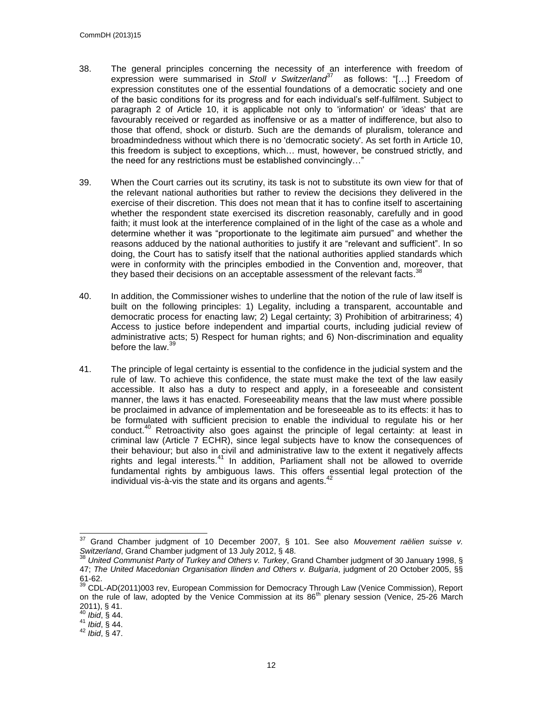- 38. The general principles concerning the necessity of an interference with freedom of expression were summarised in Stoll v Switzerland<sup>37</sup> as follows: "[...] Freedom of expression constitutes one of the essential foundations of a democratic society and one of the basic conditions for its progress and for each individual's self-fulfilment. Subject to paragraph 2 of Article 10, it is applicable not only to 'information' or 'ideas' that are favourably received or regarded as inoffensive or as a matter of indifference, but also to those that offend, shock or disturb. Such are the demands of pluralism, tolerance and broadmindedness without which there is no 'democratic society'. As set forth in Article 10, this freedom is subject to exceptions, which… must, however, be construed strictly, and the need for any restrictions must be established convincingly…"
- 39. When the Court carries out its scrutiny, its task is not to substitute its own view for that of the relevant national authorities but rather to review the decisions they delivered in the exercise of their discretion. This does not mean that it has to confine itself to ascertaining whether the respondent state exercised its discretion reasonably, carefully and in good faith; it must look at the interference complained of in the light of the case as a whole and determine whether it was "proportionate to the legitimate aim pursued" and whether the reasons adduced by the national authorities to justify it are "relevant and sufficient". In so doing, the Court has to satisfy itself that the national authorities applied standards which were in conformity with the principles embodied in the Convention and, moreover, that they based their decisions on an acceptable assessment of the relevant facts.<sup>38</sup>
- 40. In addition, the Commissioner wishes to underline that the notion of the rule of law itself is built on the following principles: 1) Legality, including a transparent, accountable and democratic process for enacting law; 2) Legal certainty; 3) Prohibition of arbitrariness; 4) Access to justice before independent and impartial courts, including judicial review of administrative acts; 5) Respect for human rights; and 6) Non-discrimination and equality before the law. $\frac{3}{3}$
- 41. The principle of legal certainty is essential to the confidence in the judicial system and the rule of law. To achieve this confidence, the state must make the text of the law easily accessible. It also has a duty to respect and apply, in a foreseeable and consistent manner, the laws it has enacted. Foreseeability means that the law must where possible be proclaimed in advance of implementation and be foreseeable as to its effects: it has to be formulated with sufficient precision to enable the individual to regulate his or her conduct.<sup>40</sup> Retroactivity also goes against the principle of legal certainty: at least in criminal law (Article 7 ECHR), since legal subjects have to know the consequences of their behaviour; but also in civil and administrative law to the extent it negatively affects rights and legal interests.<sup>41</sup> In addition, Parliament shall not be allowed to override fundamental rights by ambiguous laws. This offers essential legal protection of the individual vis-à-vis the state and its organs and agents. $42$

 $\overline{a}$ <sup>37</sup> Grand Chamber judgment of 10 December 2007, § 101. See also *Mouvement raëlien suisse v. Switzerland*, Grand Chamber judgment of 13 July 2012, § 48.

<sup>38</sup> *United Communist Party of Turkey and Others v. Turkey*, Grand Chamber judgment of 30 January 1998, § 47; *The United Macedonian Organisation Ilinden and Others v. Bulgaria*, judgment of 20 October 2005, §§ 61-62.

<sup>&</sup>lt;sup>39</sup> CDL-AD(2011)003 rev, European Commission for Democracy Through Law (Venice Commission), Report on the rule of law, adopted by the Venice Commission at its  $86<sup>th</sup>$  plenary session (Venice, 25-26 March 2011), § 41.

<sup>40</sup> *Ibid*, § 44.

<sup>41</sup> *Ibid*, § 44.

<sup>42</sup> *Ibid*, § 47.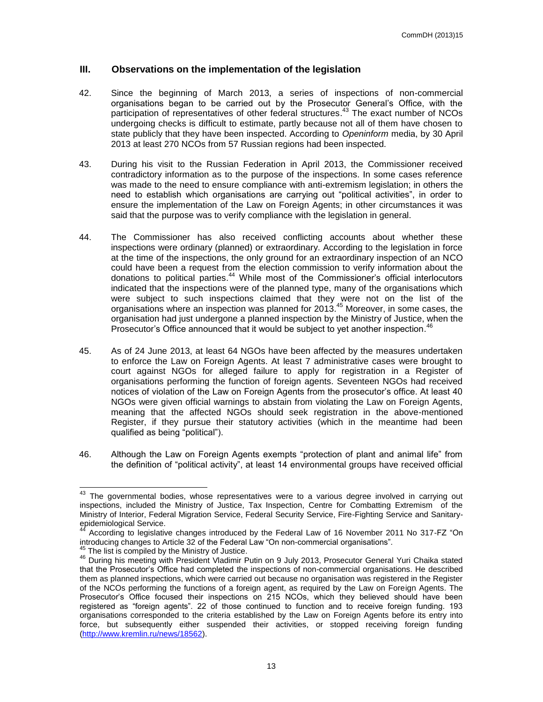#### <span id="page-12-0"></span>**III. Observations on the implementation of the legislation**

- 42. Since the beginning of March 2013, a series of inspections of non-commercial organisations began to be carried out by the Prosecutor General's Office, with the participation of representatives of other federal structures.<sup>43</sup> The exact number of NCOs undergoing checks is difficult to estimate, partly because not all of them have chosen to state publicly that they have been inspected. According to *Openinform* media, by 30 April 2013 at least 270 NCOs from 57 Russian regions had been inspected.
- 43. During his visit to the Russian Federation in April 2013, the Commissioner received contradictory information as to the purpose of the inspections. In some cases reference was made to the need to ensure compliance with anti-extremism legislation; in others the need to establish which organisations are carrying out "political activities", in order to ensure the implementation of the Law on Foreign Agents; in other circumstances it was said that the purpose was to verify compliance with the legislation in general.
- 44. The Commissioner has also received conflicting accounts about whether these inspections were ordinary (planned) or extraordinary. According to the legislation in force at the time of the inspections, the only ground for an extraordinary inspection of an NCO could have been a request from the election commission to verify information about the donations to political parties. <sup>44</sup> While most of the Commissioner's official interlocutors indicated that the inspections were of the planned type, many of the organisations which were subject to such inspections claimed that they were not on the list of the organisations where an inspection was planned for 2013. <sup>45</sup> Moreover, in some cases, the organisation had just undergone a planned inspection by the Ministry of Justice, when the Prosecutor's Office announced that it would be subject to yet another inspection.<sup>46</sup>
- 45. As of 24 June 2013, at least 64 NGOs have been affected by the measures undertaken to enforce the Law on Foreign Agents. At least 7 administrative cases were brought to court against NGOs for alleged failure to apply for registration in a Register of organisations performing the function of foreign agents. Seventeen NGOs had received notices of violation of the Law on Foreign Agents from the prosecutor's office. At least 40 NGOs were given official warnings to abstain from violating the Law on Foreign Agents, meaning that the affected NGOs should seek registration in the above-mentioned Register, if they pursue their statutory activities (which in the meantime had been qualified as being "political").
- 46. Although the Law on Foreign Agents exempts "protection of plant and animal life" from the definition of "political activity", at least 14 environmental groups have received official

l

 $43$  The governmental bodies, whose representatives were to a various degree involved in carrying out inspections, included the Ministry of Justice, Tax Inspection, Centre for Combatting Extremism of the Ministry of Interior, Federal Migration Service, Federal Security Service, Fire-Fighting Service and Sanitaryepidemiological Service.

<sup>44</sup> According to legislative changes introduced by the Federal Law of 16 November 2011 No 317-FZ "On introducing changes to Article 32 of the Federal Law "On non-commercial organisations".

 $45$  The list is compiled by the Ministry of Justice.

<sup>46</sup> During his meeting with President Vladimir Putin on 9 July 2013, Prosecutor General Yuri Chaika stated that the Prosecutor's Office had completed the inspections of non-commercial organisations. He described them as planned inspections, which were carried out because no organisation was registered in the Register of the NCOs performing the functions of a foreign agent, as required by the Law on Foreign Agents. The Prosecutor's Office focused their inspections on 215 NCOs, which they believed should have been registered as "foreign agents". 22 of those continued to function and to receive foreign funding. 193 organisations corresponded to the criteria established by the Law on Foreign Agents before its entry into force, but subsequently either suspended their activities, or stopped receiving foreign funding [\(http://www.kremlin.ru/news/18562\)](http://www.kremlin.ru/news/18562).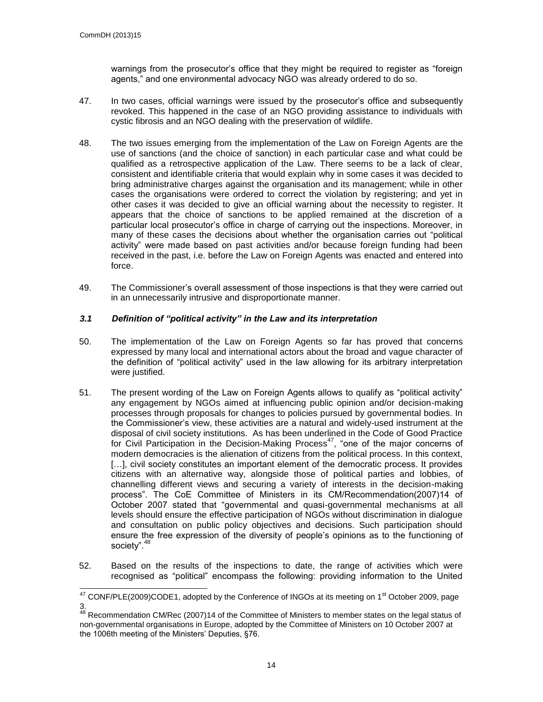warnings from the prosecutor's office that they might be required to register as "foreign agents," and one environmental advocacy NGO was already ordered to do so.

- 47. In two cases, official warnings were issued by the prosecutor's office and subsequently revoked. This happened in the case of an NGO providing assistance to individuals with cystic fibrosis and an NGO dealing with the preservation of wildlife.
- 48. The two issues emerging from the implementation of the Law on Foreign Agents are the use of sanctions (and the choice of sanction) in each particular case and what could be qualified as a retrospective application of the Law. There seems to be a lack of clear, consistent and identifiable criteria that would explain why in some cases it was decided to bring administrative charges against the organisation and its management; while in other cases the organisations were ordered to correct the violation by registering; and yet in other cases it was decided to give an official warning about the necessity to register. It appears that the choice of sanctions to be applied remained at the discretion of a particular local prosecutor's office in charge of carrying out the inspections. Moreover, in many of these cases the decisions about whether the organisation carries out "political activity" were made based on past activities and/or because foreign funding had been received in the past, i.e. before the Law on Foreign Agents was enacted and entered into force.
- 49. The Commissioner's overall assessment of those inspections is that they were carried out in an unnecessarily intrusive and disproportionate manner.

#### <span id="page-13-0"></span>*3.1 Definition of "political activity" in the Law and its interpretation*

- 50. The implementation of the Law on Foreign Agents so far has proved that concerns expressed by many local and international actors about the broad and vague character of the definition of "political activity" used in the law allowing for its arbitrary interpretation were justified.
- 51. The present wording of the Law on Foreign Agents allows to qualify as "political activity" any engagement by NGOs aimed at influencing public opinion and/or decision-making processes through proposals for changes to policies pursued by governmental bodies. In the Commissioner's view, these activities are a natural and widely-used instrument at the disposal of civil society institutions. As has been underlined in the Code of Good Practice for Civil Participation in the Decision-Making Process<sup>47</sup>, "one of the major concerns of modern democracies is the alienation of citizens from the political process. In this context, [...], civil society constitutes an important element of the democratic process. It provides citizens with an alternative way, alongside those of political parties and lobbies, of channelling different views and securing a variety of interests in the decision-making process". The CoE Committee of Ministers in its CM/Recommendation(2007)14 of October 2007 stated that "governmental and quasi-governmental mechanisms at all levels should ensure the effective participation of NGOs without discrimination in dialogue and consultation on public policy objectives and decisions. Such participation should ensure the free expression of the diversity of people's opinions as to the functioning of society".<sup>48</sup>
- 52. Based on the results of the inspections to date, the range of activities which were recognised as "political" encompass the following: providing information to the United

l  $47$  CONF/PLE(2009)CODE1, adopted by the Conference of INGOs at its meeting on 1<sup>st</sup> October 2009, page 3.

 $48$  Recommendation CM/Rec (2007)14 of the Committee of Ministers to member states on the legal status of non-governmental organisations in Europe, adopted by the Committee of Ministers on 10 October 2007 at the 1006th meeting of the Ministers' Deputies, §76.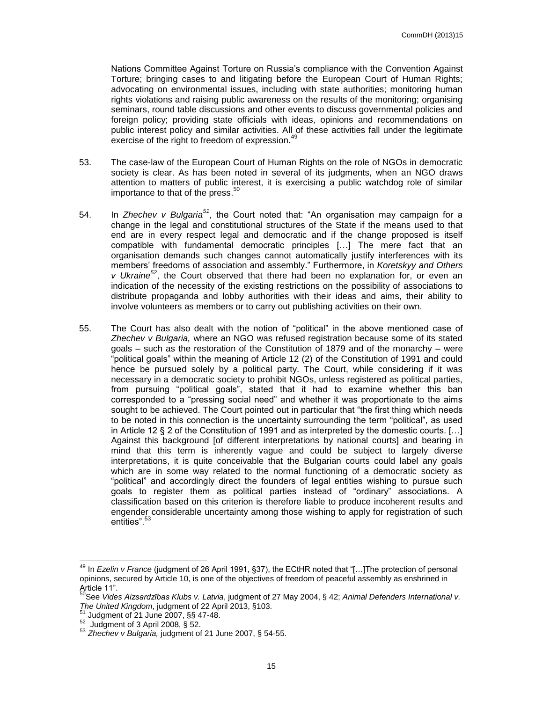Nations Committee Against Torture on Russia's compliance with the Convention Against Torture; bringing cases to and litigating before the European Court of Human Rights; advocating on environmental issues, including with state authorities; monitoring human rights violations and raising public awareness on the results of the monitoring; organising seminars, round table discussions and other events to discuss governmental policies and foreign policy; providing state officials with ideas, opinions and recommendations on public interest policy and similar activities. All of these activities fall under the legitimate exercise of the right to freedom of expression.<sup>49</sup>

- 53. The case-law of the European Court of Human Rights on the role of NGOs in democratic society is clear. As has been noted in several of its judgments, when an NGO draws attention to matters of public interest, it is exercising a public watchdog role of similar importance to that of the press.<sup>50</sup>
- 54. In *Zhechev v Bulgaria<sup>51</sup>*, the Court noted that: "An organisation may campaign for a change in the legal and constitutional structures of the State if the means used to that end are in every respect legal and democratic and if the change proposed is itself compatible with fundamental democratic principles […] The mere fact that an organisation demands such changes cannot automatically justify interferences with its members' freedoms of association and assembly." Furthermore, in *Koretskyy and Others v Ukraine<sup>52</sup>*, the Court observed that there had been no explanation for, or even an indication of the necessity of the existing restrictions on the possibility of associations to distribute propaganda and lobby authorities with their ideas and aims, their ability to involve volunteers as members or to carry out publishing activities on their own.
- 55. The Court has also dealt with the notion of "political" in the above mentioned case of *Zhechev v Bulgaria,* where an NGO was refused registration because some of its stated goals – such as the restoration of the Constitution of 1879 and of the monarchy – were "political goals" within the meaning of Article 12 (2) of the Constitution of 1991 and could hence be pursued solely by a political party. The Court, while considering if it was necessary in a democratic society to prohibit NGOs, unless registered as political parties, from pursuing "political goals", stated that it had to examine whether this ban corresponded to a "pressing social need" and whether it was proportionate to the aims sought to be achieved. The Court pointed out in particular that "the first thing which needs to be noted in this connection is the uncertainty surrounding the term "political", as used in Article 12 § 2 of the Constitution of 1991 and as interpreted by the domestic courts. […] Against this background [of different interpretations by national courts] and bearing in mind that this term is inherently vague and could be subject to largely diverse interpretations, it is quite conceivable that the Bulgarian courts could label any goals which are in some way related to the normal functioning of a democratic society as "political" and accordingly direct the founders of legal entities wishing to pursue such goals to register them as political parties instead of "ordinary" associations. A classification based on this criterion is therefore liable to produce incoherent results and engender considerable uncertainty among those wishing to apply for registration of such entities". 53

j

<sup>49</sup> In *Ezelin v France* (judgment of 26 April 1991, §37), the ECtHR noted that "[…]The protection of personal opinions, secured by Article 10, is one of the objectives of freedom of peaceful assembly as enshrined in Article 11".

<sup>50</sup>See *Vides Aizsardzības Klubs v. Latvia*, judgment of 27 May 2004, § 42; *Animal Defenders International v. The United Kingdom*, judgment of 22 April 2013, §103.

 $1$  Judgment of 21 June 2007, §§ 47-48.

 $52$  Judgment of 3 April 2008, § 52.

<sup>53</sup> *Zhechev v Bulgaria,* judgment of 21 June 2007, § 54-55.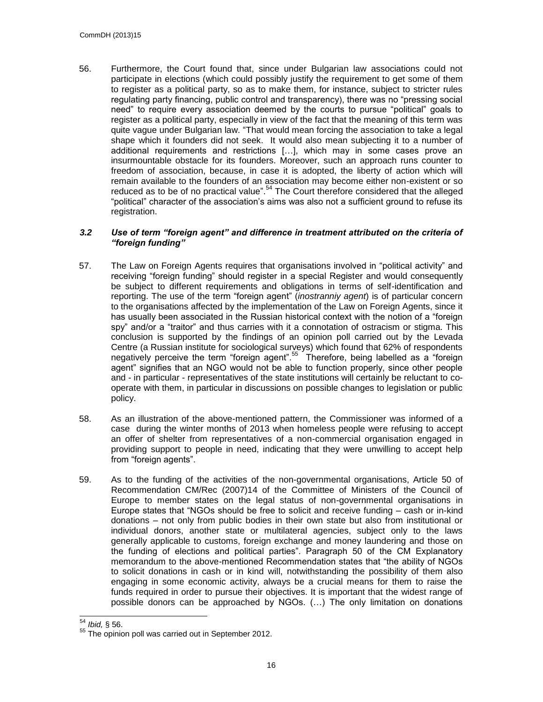56. Furthermore, the Court found that, since under Bulgarian law associations could not participate in elections (which could possibly justify the requirement to get some of them to register as a political party, so as to make them, for instance, subject to stricter rules regulating party financing, public control and transparency), there was no "pressing social need" to require every association deemed by the courts to pursue "political" goals to register as a political party, especially in view of the fact that the meaning of this term was quite vague under Bulgarian law. "That would mean forcing the association to take a legal shape which it founders did not seek. It would also mean subjecting it to a number of additional requirements and restrictions […], which may in some cases prove an insurmountable obstacle for its founders. Moreover, such an approach runs counter to freedom of association, because, in case it is adopted, the liberty of action which will remain available to the founders of an association may become either non-existent or so reduced as to be of no practical value".<sup>54</sup> The Court therefore considered that the alleged "political" character of the association's aims was also not a sufficient ground to refuse its registration.

#### <span id="page-15-0"></span>*3.2 Use of term "foreign agent" and difference in treatment attributed on the criteria of "foreign funding"*

- 57. The Law on Foreign Agents requires that organisations involved in "political activity" and receiving "foreign funding" should register in a special Register and would consequently be subject to different requirements and obligations in terms of self-identification and reporting. The use of the term "foreign agent" (*inostranniy agent*) is of particular concern to the organisations affected by the implementation of the Law on Foreign Agents, since it has usually been associated in the Russian historical context with the notion of a "foreign spy" and/or a "traitor" and thus carries with it a connotation of ostracism or stigma. This conclusion is supported by the findings of an opinion poll carried out by the Levada Centre (a Russian institute for sociological surveys) which found that 62% of respondents negatively perceive the term "foreign agent".<sup>55</sup> Therefore, being labelled as a "foreign agent" signifies that an NGO would not be able to function properly, since other people and - in particular - representatives of the state institutions will certainly be reluctant to cooperate with them, in particular in discussions on possible changes to legislation or public policy.
- 58. As an illustration of the above-mentioned pattern, the Commissioner was informed of a case during the winter months of 2013 when homeless people were refusing to accept an offer of shelter from representatives of a non-commercial organisation engaged in providing support to people in need, indicating that they were unwilling to accept help from "foreign agents".
- 59. As to the funding of the activities of the non-governmental organisations, Article 50 of Recommendation CM/Rec (2007)14 of the Committee of Ministers of the Council of Europe to member states on the legal status of non-governmental organisations in Europe states that "NGOs should be free to solicit and receive funding – cash or in-kind donations – not only from public bodies in their own state but also from institutional or individual donors, another state or multilateral agencies, subject only to the laws generally applicable to customs, foreign exchange and money laundering and those on the funding of elections and political parties". Paragraph 50 of the CM Explanatory memorandum to the above-mentioned Recommendation states that "the ability of NGOs to solicit donations in cash or in kind will, notwithstanding the possibility of them also engaging in some economic activity, always be a crucial means for them to raise the funds required in order to pursue their objectives. It is important that the widest range of possible donors can be approached by NGOs. (…) The only limitation on donations

<sup>54</sup> <sup>54</sup> *Ibid,* § 56.

<sup>&</sup>lt;sup>55</sup> The opinion poll was carried out in September 2012.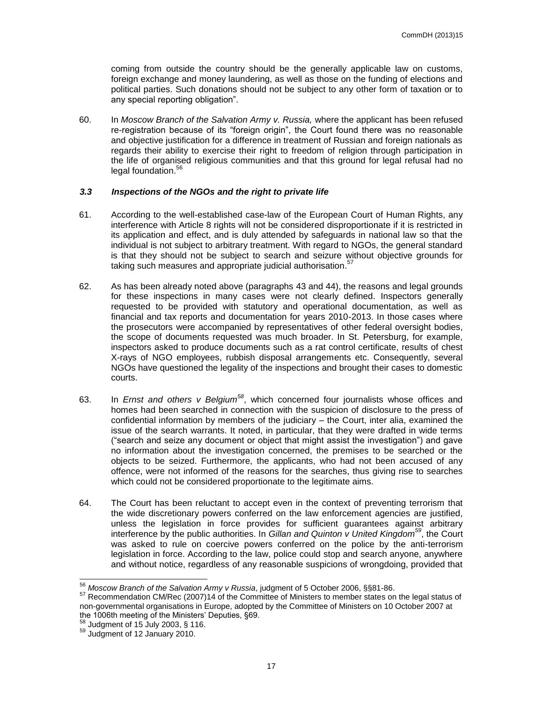coming from outside the country should be the generally applicable law on customs, foreign exchange and money laundering, as well as those on the funding of elections and political parties. Such donations should not be subject to any other form of taxation or to any special reporting obligation".

60. In *Moscow Branch of the Salvation Army v. Russia,* where the applicant has been refused re-registration because of its "foreign origin", the Court found there was no reasonable and objective justification for a difference in treatment of Russian and foreign nationals as regards their ability to exercise their right to freedom of religion through participation in the life of organised religious communities and that this ground for legal refusal had no legal foundation. 56

#### <span id="page-16-0"></span>*3.3 Inspections of the NGOs and the right to private life*

- 61. According to the well-established case-law of the European Court of Human Rights, any interference with Article 8 rights will not be considered disproportionate if it is restricted in its application and effect, and is duly attended by safeguards in national law so that the individual is not subject to arbitrary treatment. With regard to NGOs, the general standard is that they should not be subject to search and seizure without objective grounds for taking such measures and appropriate judicial authorisation.<sup>57</sup>
- 62. As has been already noted above (paragraphs 43 and 44), the reasons and legal grounds for these inspections in many cases were not clearly defined. Inspectors generally requested to be provided with statutory and operational documentation, as well as financial and tax reports and documentation for years 2010-2013. In those cases where the prosecutors were accompanied by representatives of other federal oversight bodies, the scope of documents requested was much broader. In St. Petersburg, for example, inspectors asked to produce documents such as a rat control certificate, results of chest X-rays of NGO employees, rubbish disposal arrangements etc. Consequently, several NGOs have questioned the legality of the inspections and brought their cases to domestic courts.
- 63. In *Ernst and others v Belgium<sup>58</sup>*, which concerned four journalists whose offices and homes had been searched in connection with the suspicion of disclosure to the press of confidential information by members of the judiciary – the Court, inter alia, examined the issue of the search warrants. It noted, in particular, that they were drafted in wide terms ("search and seize any document or object that might assist the investigation") and gave no information about the investigation concerned, the premises to be searched or the objects to be seized. Furthermore, the applicants, who had not been accused of any offence, were not informed of the reasons for the searches, thus giving rise to searches which could not be considered proportionate to the legitimate aims.
- 64. The Court has been reluctant to accept even in the context of preventing terrorism that the wide discretionary powers conferred on the law enforcement agencies are justified, unless the legislation in force provides for sufficient guarantees against arbitrary interference by the public authorities. In *Gillan and Quinton v United Kingdom<sup>59</sup>*, the Court was asked to rule on coercive powers conferred on the police by the anti-terrorism legislation in force. According to the law, police could stop and search anyone, anywhere and without notice, regardless of any reasonable suspicions of wrongdoing, provided that

 $\overline{a}$ <sup>56</sup> *Moscow Branch of the Salvation Army v Russia*, judgment of 5 October 2006, §§81-86.

<sup>57</sup> Recommendation CM/Rec (2007)14 of the Committee of Ministers to member states on the legal status of non-governmental organisations in Europe, adopted by the Committee of Ministers on 10 October 2007 at the 1006th meeting of the Ministers' Deputies, §69.

 $58$  Judgment of 15 July 2003, § 116.

<sup>&</sup>lt;sup>59</sup> Judgment of 12 January 2010.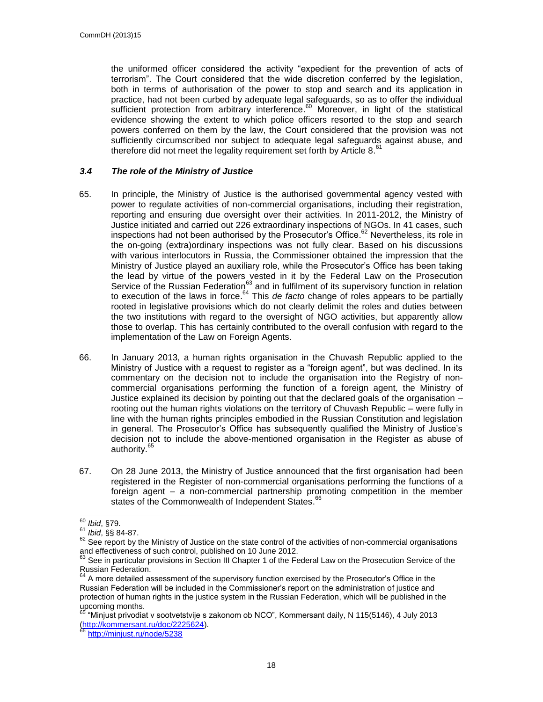the uniformed officer considered the activity "expedient for the prevention of acts of terrorism". The Court considered that the wide discretion conferred by the legislation, both in terms of authorisation of the power to stop and search and its application in practice, had not been curbed by adequate legal safeguards, so as to offer the individual sufficient protection from arbitrary interference.<sup>60</sup> Moreover, in light of the statistical evidence showing the extent to which police officers resorted to the stop and search powers conferred on them by the law, the Court considered that the provision was not sufficiently circumscribed nor subject to adequate legal safeguards against abuse, and therefore did not meet the legality requirement set forth by Article 8.<sup>61</sup>

#### <span id="page-17-0"></span>*3.4 The role of the Ministry of Justice*

- 65. In principle, the Ministry of Justice is the authorised governmental agency vested with power to regulate activities of non-commercial organisations, including their registration, reporting and ensuring due oversight over their activities. In 2011-2012, the Ministry of Justice initiated and carried out 226 extraordinary inspections of NGOs. In 41 cases, such inspections had not been authorised by the Prosecutor's Office.<sup>62</sup> Nevertheless, its role in the on-going (extra)ordinary inspections was not fully clear. Based on his discussions with various interlocutors in Russia, the Commissioner obtained the impression that the Ministry of Justice played an auxiliary role, while the Prosecutor's Office has been taking the lead by virtue of the powers vested in it by the Federal Law on the Prosecution Service of the Russian Federation<sup>63</sup> and in fulfilment of its supervisory function in relation to execution of the laws in force. <sup>64</sup> This *de facto* change of roles appears to be partially rooted in legislative provisions which do not clearly delimit the roles and duties between the two institutions with regard to the oversight of NGO activities, but apparently allow those to overlap. This has certainly contributed to the overall confusion with regard to the implementation of the Law on Foreign Agents.
- 66. In January 2013, a human rights organisation in the Chuvash Republic applied to the Ministry of Justice with a request to register as a "foreign agent", but was declined. In its commentary on the decision not to include the organisation into the Registry of noncommercial organisations performing the function of a foreign agent, the Ministry of Justice explained its decision by pointing out that the declared goals of the organisation – rooting out the human rights violations on the territory of Chuvash Republic – were fully in line with the human rights principles embodied in the Russian Constitution and legislation in general. The Prosecutor's Office has subsequently qualified the Ministry of Justice's decision not to include the above-mentioned organisation in the Register as abuse of authority.<sup>65</sup>
- 67. On 28 June 2013, the Ministry of Justice announced that the first organisation had been registered in the Register of non-commercial organisations performing the functions of a foreign agent – a non-commercial partnership promoting competition in the member states of the Commonwealth of Independent States.<sup>66</sup>

<http://minjust.ru/node/5238>

 $\overline{a}$ <sup>60</sup> *Ibid*, §79.

<sup>61</sup> *Ibid*, §§ 84-87.

 $62$  See report by the Ministry of Justice on the state control of the activities of non-commercial organisations and effectiveness of such control, published on 10 June 2012.

 $63$  See in particular provisions in Section III Chapter 1 of the Federal Law on the Prosecution Service of the Russian Federation.

 $64$  A more detailed assessment of the supervisory function exercised by the Prosecutor's Office in the Russian Federation will be included in the Commissioner's report on the administration of justice and protection of human rights in the justice system in the Russian Federation, which will be published in the upcoming months.<br><sup>65</sup> "Miniust privadiat

<sup>65</sup> "Minjust privodiat v sootvetstvije s zakonom ob NCO", Kommersant daily, N 115(5146), 4 July 2013 [\(http://kommersant.ru/doc/2225624\)](http://kommersant.ru/doc/2225624).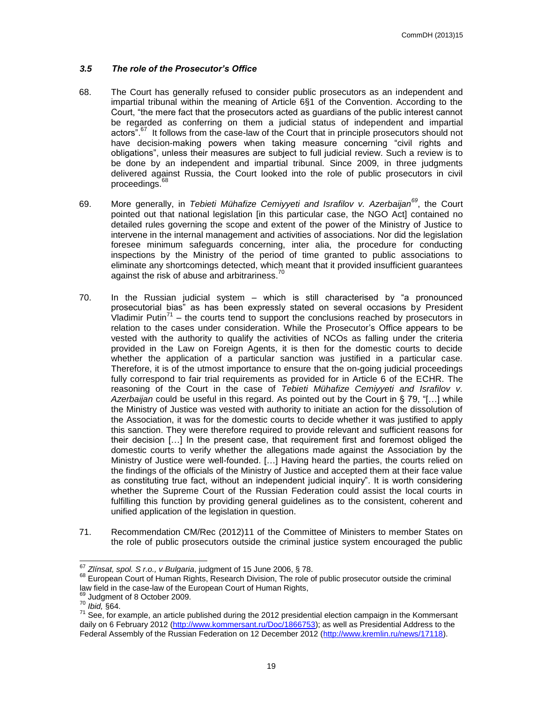#### <span id="page-18-0"></span>*3.5 The role of the Prosecutor's Office*

- 68. The Court has generally refused to consider public prosecutors as an independent and impartial tribunal within the meaning of Article 6§1 of the Convention. According to the Court, "the mere fact that the prosecutors acted as guardians of the public interest cannot be regarded as conferring on them a judicial status of independent and impartial actors".<sup>67</sup> It follows from the case-law of the Court that in principle prosecutors should not have decision-making powers when taking measure concerning "civil rights and obligations", unless their measures are subject to full judicial review. Such a review is to be done by an independent and impartial tribunal. Since 2009, in three judgments delivered against Russia, the Court looked into the role of public prosecutors in civil proceedings.<sup>68</sup>
- 69. More generally, in *Tebieti Mühafize Cemiyyeti and Israfilov v. Azerbaijan<sup>69</sup>*, the Court pointed out that national legislation [in this particular case, the NGO Act] contained no detailed rules governing the scope and extent of the power of the Ministry of Justice to intervene in the internal management and activities of associations. Nor did the legislation foresee minimum safeguards concerning, inter alia, the procedure for conducting inspections by the Ministry of the period of time granted to public associations to eliminate any shortcomings detected, which meant that it provided insufficient guarantees against the risk of abuse and arbitrariness.<sup>70</sup>
- 70. In the Russian judicial system which is still characterised by "a pronounced prosecutorial bias" as has been expressly stated on several occasions by President Vladimir Putin<sup>71</sup> – the courts tend to support the conclusions reached by prosecutors in relation to the cases under consideration. While the Prosecutor's Office appears to be vested with the authority to qualify the activities of NCOs as falling under the criteria provided in the Law on Foreign Agents, it is then for the domestic courts to decide whether the application of a particular sanction was justified in a particular case. Therefore, it is of the utmost importance to ensure that the on-going judicial proceedings fully correspond to fair trial requirements as provided for in Article 6 of the ECHR. The reasoning of the Court in the case of *Tebieti Mühafize Cemiyyeti and Israfilov v. Azerbaijan* could be useful in this regard. As pointed out by the Court in § 79, "[…] while the Ministry of Justice was vested with authority to initiate an action for the dissolution of the Association, it was for the domestic courts to decide whether it was justified to apply this sanction. They were therefore required to provide relevant and sufficient reasons for their decision […] In the present case, that requirement first and foremost obliged the domestic courts to verify whether the allegations made against the Association by the Ministry of Justice were well-founded. […] Having heard the parties, the courts relied on the findings of the officials of the Ministry of Justice and accepted them at their face value as constituting true fact, without an independent judicial inquiry". It is worth considering whether the Supreme Court of the Russian Federation could assist the local courts in fulfilling this function by providing general guidelines as to the consistent, coherent and unified application of the legislation in question.
- 71. Recommendation CM/Rec (2012)11 of the Committee of Ministers to member States on the role of public prosecutors outside the criminal justice system encouraged the public

<sup>67</sup> *Zlínsat, spol. S r.o., v Bulgaria*, judgment of 15 June 2006, § 78.

<sup>68</sup> European Court of Human Rights, Research Division, The role of public prosecutor outside the criminal law field in the case-law of the European Court of Human Rights,

<sup>&</sup>lt;sup>69</sup> Judgment of 8 October 2009.

<sup>70</sup> *Ibid,* §64.

 $71$  See, for example, an article published during the 2012 presidential election campaign in the Kommersant daily on 6 February 2012 [\(http://www.kommersant.ru/Doc/1866753\)](http://www.kommersant.ru/Doc/1866753); as well as Presidential Address to the Federal Assembly of the Russian Federation on 12 December 2012 [\(http://www.kremlin.ru/news/17118\)](http://www.kremlin.ru/news/17118).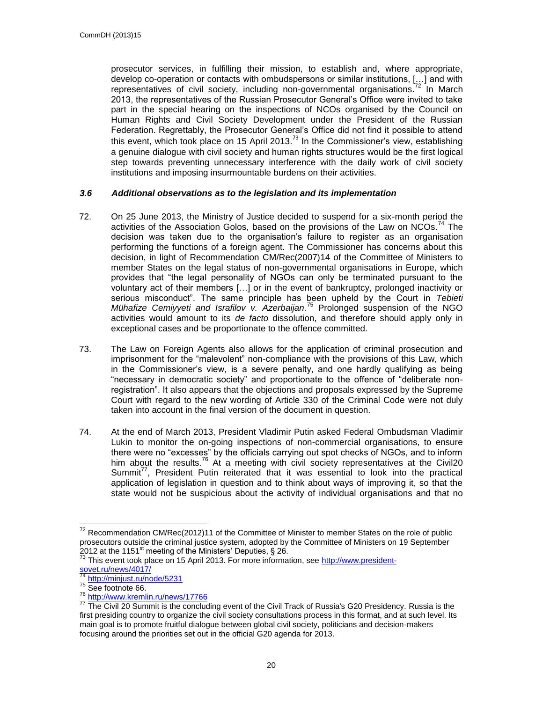prosecutor services, in fulfilling their mission, to establish and, where appropriate, develop co-operation or contacts with ombudspersons or similar institutions, […] and with representatives of civil society, including non-governmental organisations.<sup>72</sup> In March 2013, the representatives of the Russian Prosecutor General's Office were invited to take part in the special hearing on the inspections of NCOs organised by the Council on Human Rights and Civil Society Development under the President of the Russian Federation. Regrettably, the Prosecutor General's Office did not find it possible to attend this event, which took place on 15 April 2013.<sup>73</sup> In the Commissioner's view, establishing a genuine dialogue with civil society and human rights structures would be the first logical step towards preventing unnecessary interference with the daily work of civil society institutions and imposing insurmountable burdens on their activities.

#### <span id="page-19-0"></span>*3.6 Additional observations as to the legislation and its implementation*

- 72. On 25 June 2013, the Ministry of Justice decided to suspend for a six-month period the activities of the Association Golos, based on the provisions of the Law on NCOs.<sup>74</sup> The decision was taken due to the organisation's failure to register as an organisation performing the functions of a foreign agent. The Commissioner has concerns about this decision, in light of Recommendation CM/Rec(2007)14 of the Committee of Ministers to member States on the legal status of non-governmental organisations in Europe, which provides that "the legal personality of NGOs can only be terminated pursuant to the voluntary act of their members […] or in the event of bankruptcy, prolonged inactivity or serious misconduct". The same principle has been upheld by the Court in *Tebieti Mühafize Cemiyyeti and Israfilov v. Azerbaijan.* <sup>75</sup> Prolonged suspension of the NGO activities would amount to its *de facto* dissolution, and therefore should apply only in exceptional cases and be proportionate to the offence committed.
- 73. The Law on Foreign Agents also allows for the application of criminal prosecution and imprisonment for the "malevolent" non-compliance with the provisions of this Law, which in the Commissioner's view, is a severe penalty, and one hardly qualifying as being "necessary in democratic society" and proportionate to the offence of "deliberate nonregistration". It also appears that the objections and proposals expressed by the Supreme Court with regard to the new wording of Article 330 of the Criminal Code were not duly taken into account in the final version of the document in question.
- 74. At the end of March 2013, President Vladimir Putin asked Federal Ombudsman Vladimir Lukin to monitor the on-going inspections of non-commercial organisations, to ensure there were no "excesses" by the officials carrying out spot checks of NGOs, and to inform him about the results.<sup>76</sup> At a meeting with civil society representatives at the Civil20 Summit $^{77}$ , President Putin reiterated that it was essential to look into the practical application of legislation in question and to think about ways of improving it, so that the state would not be suspicious about the activity of individual organisations and that no

 $72$  Recommendation CM/Rec(2012)11 of the Committee of Minister to member States on the role of public prosecutors outside the criminal justice system, adopted by the Committee of Ministers on 19 September  $2012$  at the 1151<sup>st</sup> meeting of the Ministers' Deputies, § 26.

<sup>&</sup>lt;sup>73</sup> This event took place on 15 April 2013. For more information, se[e http://www.president](http://www.president-sovet.ru/news/4017/)[sovet.ru/news/4017/](http://www.president-sovet.ru/news/4017/)

<sup>&</sup>lt;sup>74</sup> <http://minjust.ru/node/5231>

<sup>75</sup> See footnote 66.

<sup>76</sup> <http://www.kremlin.ru/news/17766>

<sup>&</sup>lt;sup>77</sup> The Civil 20 Summit is the concluding event of the Civil Track of Russia's G20 Presidency. Russia is the first presiding country to organize the civil society consultations process in this format, and at such level. Its main goal is to promote fruitful dialogue between global civil society, politicians and decision-makers focusing around the priorities set out in the official G20 agenda for 2013.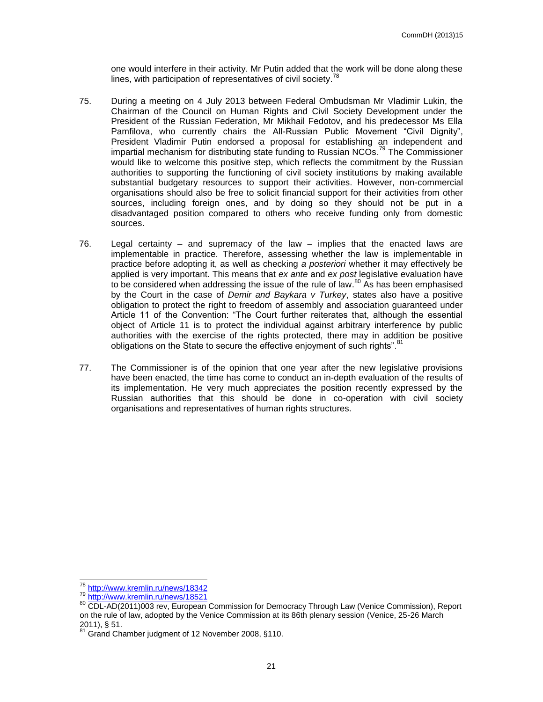one would interfere in their activity. Mr Putin added that the work will be done along these lines, with participation of representatives of civil society.<sup>78</sup>

- 75. During a meeting on 4 July 2013 between Federal Ombudsman Mr Vladimir Lukin, the Chairman of the Council on Human Rights and Civil Society Development under the President of the Russian Federation, Mr Mikhail Fedotov, and his predecessor Ms Ella Pamfilova, who currently chairs the All-Russian Public Movement "Civil Dignity", President Vladimir Putin endorsed a proposal for establishing an independent and impartial mechanism for distributing state funding to Russian NCOs.<sup>79</sup> The Commissioner would like to welcome this positive step, which reflects the commitment by the Russian authorities to supporting the functioning of civil society institutions by making available substantial budgetary resources to support their activities. However, non-commercial organisations should also be free to solicit financial support for their activities from other sources, including foreign ones, and by doing so they should not be put in a disadvantaged position compared to others who receive funding only from domestic sources.
- 76. Legal certainty and supremacy of the law implies that the enacted laws are implementable in practice. Therefore, assessing whether the law is implementable in practice before adopting it, as well as checking *a posteriori* whether it may effectively be applied is very important. This means that *ex ante* and *ex post* legislative evaluation have to be considered when addressing the issue of the rule of law.<sup>80</sup> As has been emphasised by the Court in the case of *Demir and Baykara v Turkey*, states also have a positive obligation to protect the right to freedom of assembly and association guaranteed under Article 11 of the Convention: "The Court further reiterates that, although the essential object of Article 11 is to protect the individual against arbitrary interference by public authorities with the exercise of the rights protected, there may in addition be positive obligations on the State to secure the effective enjoyment of such rights". <sup>81</sup>
- 77. The Commissioner is of the opinion that one year after the new legislative provisions have been enacted, the time has come to conduct an in-depth evaluation of the results of its implementation. He very much appreciates the position recently expressed by the Russian authorities that this should be done in co-operation with civil society organisations and representatives of human rights structures.

 $\overline{a}$ <sup>78</sup> <http://www.kremlin.ru/news/18342>

<sup>79</sup> <http://www.kremlin.ru/news/18521>

<sup>80</sup> CDL-AD(2011)003 rev, European Commission for Democracy Through Law (Venice Commission), Report on the rule of law, adopted by the Venice Commission at its 86th plenary session (Venice, 25-26 March  $2011$ ), § 51.

Grand Chamber judgment of 12 November 2008, §110.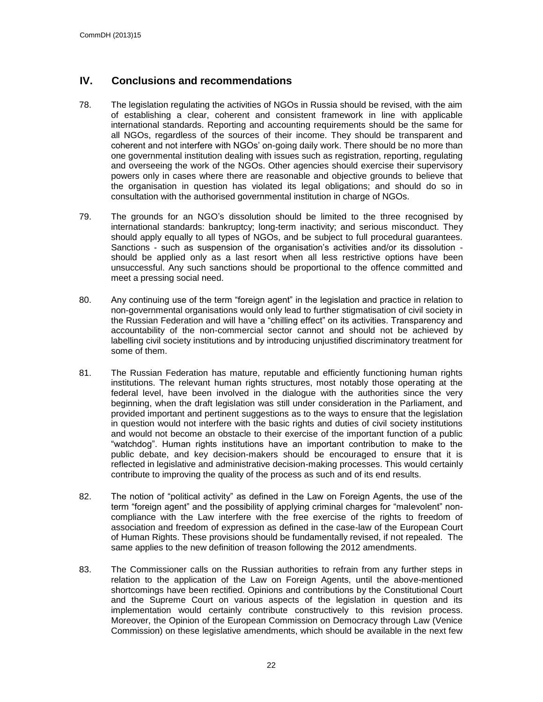### <span id="page-21-0"></span>**IV. Conclusions and recommendations**

- 78. The legislation regulating the activities of NGOs in Russia should be revised, with the aim of establishing a clear, coherent and consistent framework in line with applicable international standards. Reporting and accounting requirements should be the same for all NGOs, regardless of the sources of their income. They should be transparent and coherent and not interfere with NGOs' on-going daily work. There should be no more than one governmental institution dealing with issues such as registration, reporting, regulating and overseeing the work of the NGOs. Other agencies should exercise their supervisory powers only in cases where there are reasonable and objective grounds to believe that the organisation in question has violated its legal obligations; and should do so in consultation with the authorised governmental institution in charge of NGOs.
- 79. The grounds for an NGO's dissolution should be limited to the three recognised by international standards: bankruptcy; long-term inactivity; and serious misconduct. They should apply equally to all types of NGOs, and be subject to full procedural guarantees. Sanctions - such as suspension of the organisation's activities and/or its dissolution should be applied only as a last resort when all less restrictive options have been unsuccessful. Any such sanctions should be proportional to the offence committed and meet a pressing social need.
- 80. Any continuing use of the term "foreign agent" in the legislation and practice in relation to non-governmental organisations would only lead to further stigmatisation of civil society in the Russian Federation and will have a "chilling effect" on its activities. Transparency and accountability of the non-commercial sector cannot and should not be achieved by labelling civil society institutions and by introducing unjustified discriminatory treatment for some of them.
- 81. The Russian Federation has mature, reputable and efficiently functioning human rights institutions. The relevant human rights structures, most notably those operating at the federal level, have been involved in the dialogue with the authorities since the very beginning, when the draft legislation was still under consideration in the Parliament, and provided important and pertinent suggestions as to the ways to ensure that the legislation in question would not interfere with the basic rights and duties of civil society institutions and would not become an obstacle to their exercise of the important function of a public "watchdog". Human rights institutions have an important contribution to make to the public debate, and key decision-makers should be encouraged to ensure that it is reflected in legislative and administrative decision-making processes. This would certainly contribute to improving the quality of the process as such and of its end results.
- 82. The notion of "political activity" as defined in the Law on Foreign Agents, the use of the term "foreign agent" and the possibility of applying criminal charges for "malevolent" noncompliance with the Law interfere with the free exercise of the rights to freedom of association and freedom of expression as defined in the case-law of the European Court of Human Rights. These provisions should be fundamentally revised, if not repealed. The same applies to the new definition of treason following the 2012 amendments.
- 83. The Commissioner calls on the Russian authorities to refrain from any further steps in relation to the application of the Law on Foreign Agents, until the above-mentioned shortcomings have been rectified. Opinions and contributions by the Constitutional Court and the Supreme Court on various aspects of the legislation in question and its implementation would certainly contribute constructively to this revision process. Moreover, the Opinion of the European Commission on Democracy through Law (Venice Commission) on these legislative amendments, which should be available in the next few